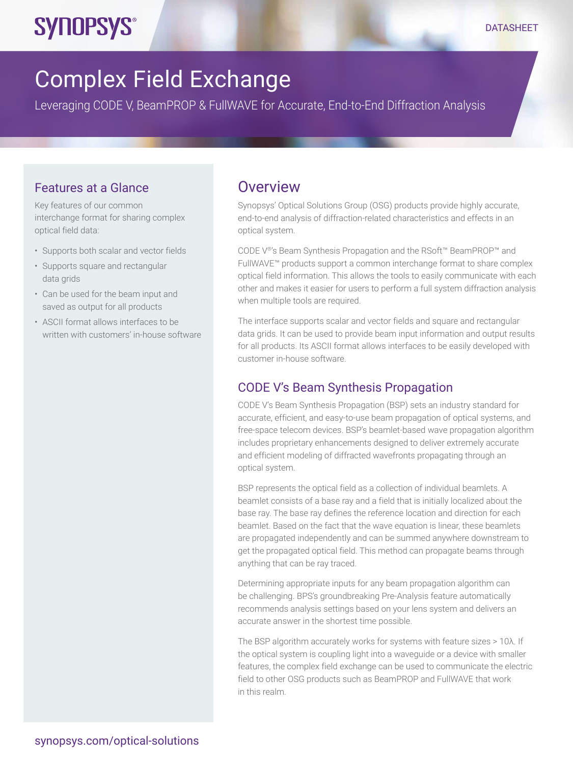# **SYNOPSYS®**

## Complex Field Exchange

Leveraging CODE V, BeamPROP & FullWAVE for Accurate, End-to-End Diffraction Analysis

#### Features at a Glance

Key features of our common interchange format for sharing complex optical field data:

- Supports both scalar and vector fields
- Supports square and rectangular data grids
- Can be used for the beam input and saved as output for all products
- ASCII format allows interfaces to be written with customers' in-house software

## **Overview**

Synopsys' Optical Solutions Group (OSG) products provide highly accurate, end-to-end analysis of diffraction-related characteristics and effects in an optical system.

CODE V®'s Beam Synthesis Propagation and the RSoft™ BeamPROP™ and FullWAVE™ products support a common interchange format to share complex optical field information. This allows the tools to easily communicate with each other and makes it easier for users to perform a full system diffraction analysis when multiple tools are required.

The interface supports scalar and vector fields and square and rectangular data grids. It can be used to provide beam input information and output results for all products. Its ASCII format allows interfaces to be easily developed with customer in-house software.

#### CODE V's Beam Synthesis Propagation

CODE V's Beam Synthesis Propagation (BSP) sets an industry standard for accurate, efficient, and easy-to-use beam propagation of optical systems, and free-space telecom devices. BSP's beamlet-based wave propagation algorithm includes proprietary enhancements designed to deliver extremely accurate and efficient modeling of diffracted wavefronts propagating through an optical system.

BSP represents the optical field as a collection of individual beamlets. A beamlet consists of a base ray and a field that is initially localized about the base ray. The base ray defines the reference location and direction for each beamlet. Based on the fact that the wave equation is linear, these beamlets are propagated independently and can be summed anywhere downstream to get the propagated optical field. This method can propagate beams through anything that can be ray traced.

Determining appropriate inputs for any beam propagation algorithm can be challenging. BPS's groundbreaking Pre-Analysis feature automatically recommends analysis settings based on your lens system and delivers an accurate answer in the shortest time possible.

The BSP algorithm accurately works for systems with feature sizes > 10λ. If the optical system is coupling light into a waveguide or a device with smaller features, the complex field exchange can be used to communicate the electric field to other OSG products such as BeamPROP and FullWAVE that work in this realm.